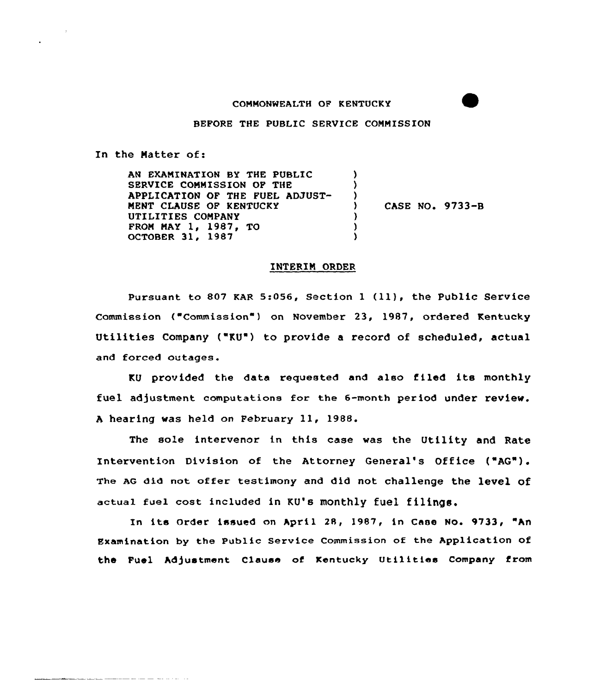## COMMONWEALTH OF KENTUCKY

BEFORE THE PUBLIC SERVICE COMMISSION

In the Natter of:

<u>a componente de seu por por se</u> ser ser ser

AN EXAMINATION BY THE PUBLIC SERVICE COMMISSION OF THE APPLICATION OF THE FUEL ADJUST-MENT CLAUSE OF KENTUCKY UTILITIES COMPANY FROM MAY 1, 1987, TO OCTOBER 31, 1987  $\lambda$ ) ) ) CASE NO. 9733-B ) ) )

## INTERIN ORDER

Pursuant to <sup>807</sup> KAR 5:056, Section <sup>1</sup> (ll), the Public Service Commission ("Commission") on November 23, 1987, ordered Kentucky Utilities Company ("KU') to provide a record of scheduled, actual and forced outages.

KU provided the data requested and also filed its monthly fuel adjustment computations for the 6-month period under review. <sup>A</sup> hearing was held on February ll, 1988.

The sole intervenor in this case was the Utility and Rate Intervention Division of the Attorney General's Office ("AG"). The AG did not offer testimony and did not challenge the level of actual fuel cost included in KU's monthly fuel filings.

In its Order issued on April 28, 1987, in Case No. 9733, "An Examination by the Public Service Commission of the Application of the Fuel Adjustment clause of Kentucky Utilities company from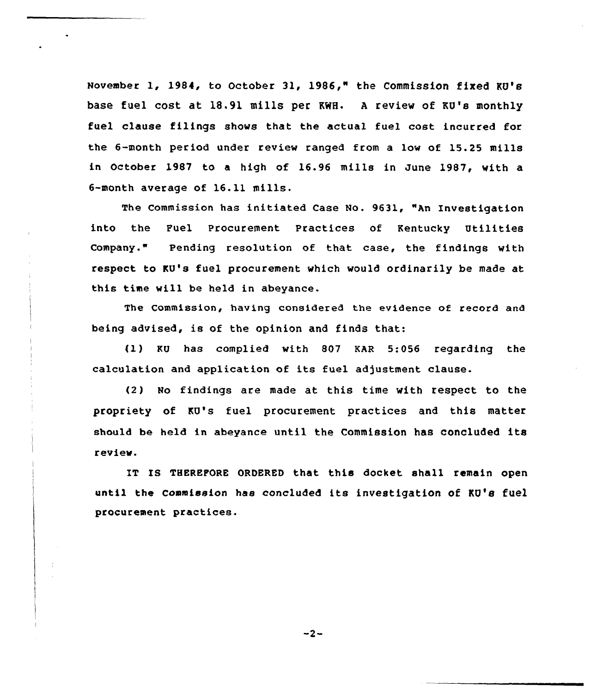November 1, 1984, to October 31, 1986," the Commission fixed KU's base fuel cost at 18.91 mills per KWH. <sup>A</sup> review of KU's monthly fuel clause filings shows that the actual fuel cost incurred for the 6-month period under review ranged from a low of 15.25 mills in October 1987 to a high of 16.96 mills in June 1987, with a 6-month average of 16.11 mills.

The Commission has initiated Case No. 9631, "An Investigation into the Fuel Procurement Practices of Kentucky Utilities Company." Pending resolution of that case, the findings with respect to KU's fuel procurement which would ordinarily be made at this time will be held in abeyance.

The Commission, having considered the evidence of record and being advised, is of the opinion and finds that:

fl) RU has complied with 807 KAR 5:056 regarding the calculation and application of its fuel adjustment clause.

(2) No findings are made at this time with respect to the propriety of KU's fuel procurement practices and this matter should be held in abeyance until the Commission has concluded its review.

IT IS THEREFORE ORDERED that this docket shall remain open until the commission has concluded its investigation of KU's fuel procurement practices.

 $-2-$